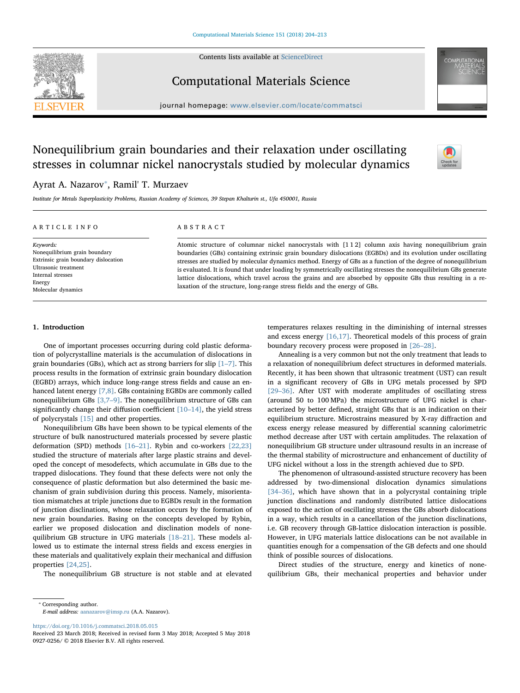Contents lists available at [ScienceDirect](http://www.sciencedirect.com/science/journal/09270256)



## Computational Materials Science

journal homepage: [www.elsevier.com/locate/commatsci](https://www.elsevier.com/locate/commatsci)

# Nonequilibrium grain boundaries and their relaxation under oscillating stresses in columnar nickel nanocrystals studied by molecular dynamics



# Ayrat A. Nazarov[⁎](#page-0-0) , Ramil' T. Murzaev

Institute for Metals Superplasticity Problems, Russian Academy of Sciences, 39 Stepan Khalturin st., Ufa 450001, Russia

#### ARTICLE INFO

#### ABSTRACT

Keywords: Nonequilibrium grain boundary Extrinsic grain boundary dislocation Ultrasonic treatment Internal stresses Energy Molecular dynamics

Atomic structure of columnar nickel nanocrystals with [1 1 2] column axis having nonequilibrium grain boundaries (GBs) containing extrinsic grain boundary dislocations (EGBDs) and its evolution under oscillating stresses are studied by molecular dynamics method. Energy of GBs as a function of the degree of nonequilibrium is evaluated. It is found that under loading by symmetrically oscillating stresses the nonequilibrium GBs generate lattice dislocations, which travel across the grains and are absorbed by opposite GBs thus resulting in a relaxation of the structure, long-range stress fields and the energy of GBs.

### 1. Introduction

One of important processes occurring during cold plastic deformation of polycrystalline materials is the accumulation of dislocations in grain boundaries (GBs), which act as strong barriers for slip [1–[7\]](#page--1-0). This process results in the formation of extrinsic grain boundary dislocation (EGBD) arrays, which induce long-range stress fields and cause an enhanced latent energy [\[7,8\].](#page--1-1) GBs containing EGBDs are commonly called nonequilibrium GBs [\[3,7](#page--1-2)–9]. The nonequilibrium structure of GBs can significantly change their diffusion coefficient  $[10-14]$  $[10-14]$ , the yield stress of polycrystals [\[15\]](#page--1-4) and other properties.

Nonequilibrium GBs have been shown to be typical elements of the structure of bulk nanostructured materials processed by severe plastic deformation (SPD) methods [\[16](#page--1-5)–21]. Rybin and co-workers [\[22,23\]](#page--1-6) studied the structure of materials after large plastic strains and developed the concept of mesodefects, which accumulate in GBs due to the trapped dislocations. They found that these defects were not only the consequence of plastic deformation but also determined the basic mechanism of grain subdivision during this process. Namely, misorientation mismatches at triple junctions due to EGBDs result in the formation of junction disclinations, whose relaxation occurs by the formation of new grain boundaries. Basing on the concepts developed by Rybin, earlier we proposed dislocation and disclination models of nonequilibrium GB structure in UFG materials [18–[21\].](#page--1-7) These models allowed us to estimate the internal stress fields and excess energies in these materials and qualitatively explain their mechanical and diffusion properties [\[24,25\].](#page--1-8)

The nonequilibrium GB structure is not stable and at elevated

temperatures relaxes resulting in the diminishing of internal stresses and excess energy [\[16,17\].](#page--1-5) Theoretical models of this process of grain boundary recovery process were proposed in [26–[28\].](#page--1-9)

Annealing is a very common but not the only treatment that leads to a relaxation of nonequilibrium defect structures in deformed materials. Recently, it has been shown that ultrasonic treatment (UST) can result in a significant recovery of GBs in UFG metals processed by SPD [29–[36\]](#page--1-10). After UST with moderate amplitudes of oscillating stress (around 50 to 100 MPa) the microstructure of UFG nickel is characterized by better defined, straight GBs that is an indication on their equilibrium structure. Microstrains measured by X-ray diffraction and excess energy release measured by differential scanning calorimetric method decrease after UST with certain amplitudes. The relaxation of nonequilibrium GB structure under ultrasound results in an increase of the thermal stability of microstructure and enhancement of ductility of UFG nickel without a loss in the strength achieved due to SPD.

The phenomenon of ultrasound-assisted structure recovery has been addressed by two-dimensional dislocation dynamics simulations [34-[36\]](#page--1-11), which have shown that in a polycrystal containing triple junction disclinations and randomly distributed lattice dislocations exposed to the action of oscillating stresses the GBs absorb dislocations in a way, which results in a cancellation of the junction disclinations, i.e. GB recovery through GB-lattice dislocation interaction is possible. However, in UFG materials lattice dislocations can be not available in quantities enough for a compensation of the GB defects and one should think of possible sources of dislocations.

Direct studies of the structure, energy and kinetics of nonequilibrium GBs, their mechanical properties and behavior under

E-mail address: [aanazarov@imsp.ru](mailto:aanazarov@imsp.ru) (A.A. Nazarov).

<https://doi.org/10.1016/j.commatsci.2018.05.015>

<span id="page-0-0"></span><sup>⁎</sup> Corresponding author.

Received 23 March 2018; Received in revised form 3 May 2018; Accepted 5 May 2018 0927-0256/ © 2018 Elsevier B.V. All rights reserved.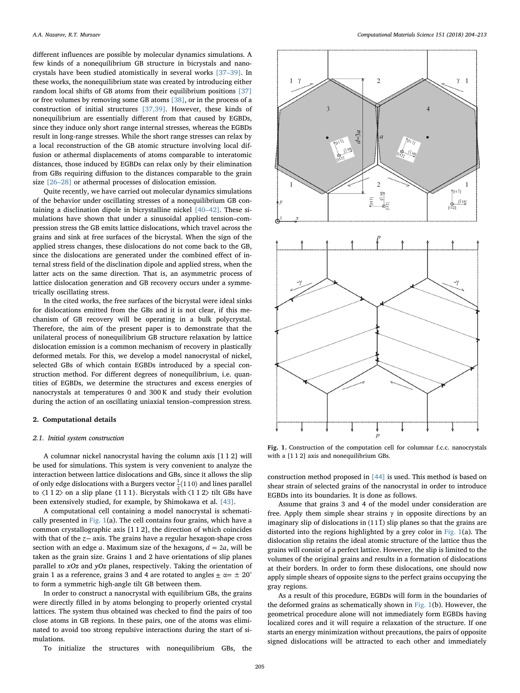different influences are possible by molecular dynamics simulations. A few kinds of a nonequilibrium GB structure in bicrystals and nanocrystals have been studied atomistically in several works [\[37](#page--1-12)–39]. In these works, the nonequilibrium state was created by introducing either random local shifts of GB atoms from their equilibrium positions [\[37\]](#page--1-12) or free volumes by removing some GB atoms [\[38\],](#page--1-13) or in the process of a construction of initial structures [\[37,39\].](#page--1-12) However, these kinds of nonequilibrium are essentially different from that caused by EGBDs, since they induce only short range internal stresses, whereas the EGBDs result in long-range stresses. While the short range stresses can relax by a local reconstruction of the GB atomic structure involving local diffusion or athermal displacements of atoms comparable to interatomic distances, those induced by EGBDs can relax only by their elimination from GBs requiring diffusion to the distances comparable to the grain size [\[26](#page--1-9)–28] or athermal processes of dislocation emission.

Quite recently, we have carried out molecular dynamics simulations of the behavior under oscillating stresses of a nonequilibrium GB containing a disclination dipole in bicrystalline nickel [40–[42\].](#page--1-14) These simulations have shown that under a sinusoidal applied tension–compression stress the GB emits lattice dislocations, which travel across the grains and sink at free surfaces of the bicrystal. When the sign of the applied stress changes, these dislocations do not come back to the GB, since the dislocations are generated under the combined effect of internal stress field of the disclination dipole and applied stress, when the latter acts on the same direction. That is, an asymmetric process of lattice dislocation generation and GB recovery occurs under a symmetrically oscillating stress.

In the cited works, the free surfaces of the bicrystal were ideal sinks for dislocations emitted from the GBs and it is not clear, if this mechanism of GB recovery will be operating in a bulk polycrystal. Therefore, the aim of the present paper is to demonstrate that the unilateral process of nonequilibrium GB structure relaxation by lattice dislocation emission is a common mechanism of recovery in plastically deformed metals. For this, we develop a model nanocrystal of nickel, selected GBs of which contain EGBDs introduced by a special construction method. For different degrees of nonequilibrium, i.e. quantities of EGBDs, we determine the structures and excess energies of nanocrystals at temperatures 0 and 300 K and study their evolution during the action of an oscillating uniaxial tension–compression stress.

#### 2. Computational details

#### 2.1. Initial system construction

A columnar nickel nanocrystal having the column axis [1 1 2] will be used for simulations. This system is very convenient to analyze the interaction between lattice dislocations and GBs, since it allows the slip of only edge dislocations with a Burgers vector  $\frac{1}{2}\langle 110 \rangle$  and lines parallel to  $\langle 1 1 2 \rangle$  on a slip plane  $\{1 1 1\}$ . Bicrystals with  $\langle 1 1 2 \rangle$  tilt GBs have been extensively studied, for example, by Shimokawa et al. [\[43\].](#page--1-15)

A computational cell containing a model nanocrystal is schematically presented in [Fig. 1](#page-1-0)(a). The cell contains four grains, which have a common crystallographic axis [1 1 2], the direction of which coincides with that of the *z*− axis. The grains have a regular hexagon-shape cross section with an edge  $a$ . Maximum size of the hexagons,  $d = 2a$ , will be taken as the grain size. Grains 1 and 2 have orientations of slip planes parallel to xOz and yOz planes, respectively. Taking the orientation of grain 1 as a reference, grains 3 and 4 are rotated to angles  $\pm \alpha = \pm 20^{\circ}$ to form a symmetric high-angle tilt GB between them.

In order to construct a nanocrystal with equilibrium GBs, the grains were directly filled in by atoms belonging to properly oriented crystal lattices. The system thus obtained was checked to find the pairs of too close atoms in GB regions. In these pairs, one of the atoms was eliminated to avoid too strong repulsive interactions during the start of simulations.

To initialize the structures with nonequilibrium GBs, the

<span id="page-1-0"></span>

Fig. 1. Construction of the computation cell for columnar f.c.c. nanocrystals with a [1 1 2] axis and nonequilibrium GBs.

construction method proposed in [\[44\]](#page--1-16) is used. This method is based on shear strain of selected grains of the nanocrystal in order to introduce EGBDs into its boundaries. It is done as follows.

Assume that grains 3 and 4 of the model under consideration are free. Apply them simple shear strains  $\gamma$  in opposite directions by an imaginary slip of dislocations in  $(11\bar{1})$  slip planes so that the grains are distorted into the regions highlighted by a grey color in [Fig. 1](#page-1-0)(a). The dislocation slip retains the ideal atomic structure of the lattice thus the grains will consist of a perfect lattice. However, the slip is limited to the volumes of the original grains and results in a formation of dislocations at their borders. In order to form these dislocations, one should now apply simple shears of opposite signs to the perfect grains occupying the gray regions.

As a result of this procedure, EGBDs will form in the boundaries of the deformed grains as schematically shown in [Fig. 1](#page-1-0)(b). However, the geometrical procedure alone will not immediately form EGBDs having localized cores and it will require a relaxation of the structure. If one starts an energy minimization without precautions, the pairs of opposite signed dislocations will be attracted to each other and immediately